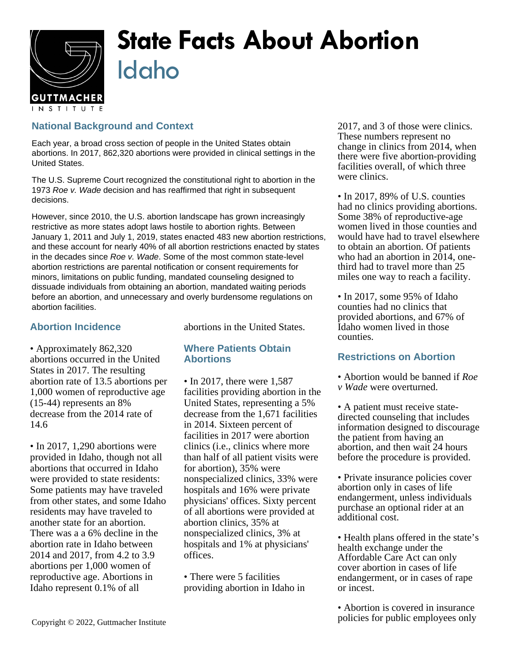

## **State Facts About Abortion** Idaho

## **National Background and Context**

Each year, a broad cross section of people in the United States obtain abortions. In 2017, 862,320 abortions were provided in clinical settings in the United States.

The U.S. Supreme Court recognized the constitutional right to abortion in the 1973 Roe v. Wade decision and has reaffirmed that right in subsequent decisions.

However, since 2010, the U.S. abortion landscape has grown increasingly restrictive as more states adopt laws hostile to abortion rights. Between January 1, 2011 and July 1, 2019, states enacted 483 new abortion restrictions, and these account for nearly 40% of all abortion restrictions enacted by states in the decades since Roe v. Wade. Some of the most common state-level abortion restrictions are parental notification or consent requirements for minors, limitations on public funding, mandated counseling designed to dissuade individuals from obtaining an abortion, mandated waiting periods before an abortion, and unnecessary and overly burdensome regulations on abortion facilities.

## **Abortion Incidence**

abortions in the United States.

• Approximately 862,320 abortions occurred in the United States in 2017. The resulting abortion rate of 13.5 abortions per 1,000 women of reproductive age (15-44) represents an 8% decrease from the 2014 rate of 14.6

• In 2017, 1,290 abortions were provided in Idaho, though not all abortions that occurred in Idaho were provided to state residents: Some patients may have traveled from other states, and some Idaho residents may have traveled to another state for an abortion. There was a a 6% decline in the abortion rate in Idaho between 2014 and 2017, from 4.2 to 3.9 abortions per 1,000 women of reproductive age. Abortions in Idaho represent 0.1% of all

**Where Patients Obtain Abortions**

• In 2017, there were 1,587 facilities providing abortion in the United States, representing a 5% decrease from the 1,671 facilities in 2014. Sixteen percent of facilities in 2017 were abortion clinics (i.e., clinics where more than half of all patient visits were for abortion), 35% were nonspecialized clinics, 33% were hospitals and 16% were private physicians' offices. Sixty percent of all abortions were provided at abortion clinics, 35% at nonspecialized clinics, 3% at hospitals and 1% at physicians' offices.

• There were 5 facilities providing abortion in Idaho in 2017, and 3 of those were clinics. These numbers represent no change in clinics from 2014, when there were five abortion-providing facilities overall, of which three were clinics.

• In 2017, 89% of U.S. counties had no clinics providing abortions. Some 38% of reproductive-age women lived in those counties and would have had to travel elsewhere to obtain an abortion. Of patients who had an abortion in 2014, onethird had to travel more than 25 miles one way to reach a facility.

• In 2017, some 95% of Idaho counties had no clinics that provided abortions, and 67% of Idaho women lived in those counties.

## **Restrictions on Abortion**

- Abortion would be banned if *Roe v Wade* were overturned.
- A patient must receive statedirected counseling that includes information designed to discourage the patient from having an abortion, and then wait 24 hours before the procedure is provided.
- Private insurance policies cover abortion only in cases of life endangerment, unless individuals purchase an optional rider at an additional cost.
- Health plans offered in the state's health exchange under the Affordable Care Act can only cover abortion in cases of life endangerment, or in cases of rape or incest.

• Abortion is covered in insurance policies for public employees only